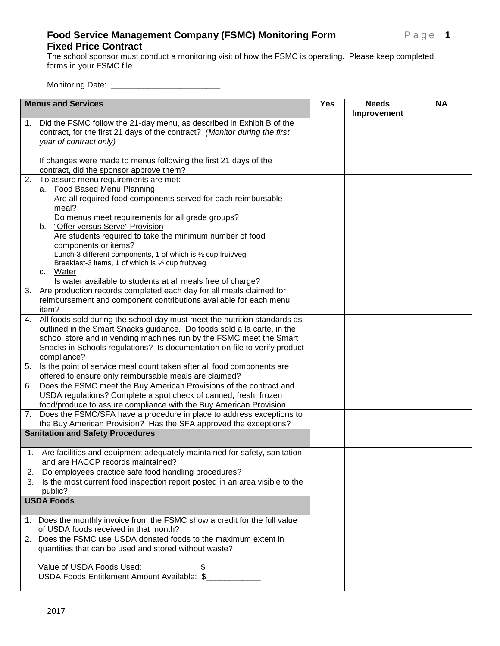## **Food Service Management Company (FSMC) Monitoring Form Page | 1 Fixed Price Contract**

The school sponsor must conduct a monitoring visit of how the FSMC is operating. Please keep completed forms in your FSMC file.

Monitoring Date: \_\_\_\_\_\_\_\_\_\_\_\_\_\_\_\_\_\_\_\_\_\_\_\_

| <b>Menus and Services</b> |                                                                                                                                                                               | <b>Yes</b> | <b>Needs</b> | <b>NA</b> |
|---------------------------|-------------------------------------------------------------------------------------------------------------------------------------------------------------------------------|------------|--------------|-----------|
| 1.                        | Did the FSMC follow the 21-day menu, as described in Exhibit B of the<br>contract, for the first 21 days of the contract? (Monitor during the first<br>year of contract only) |            | Improvement  |           |
|                           | If changes were made to menus following the first 21 days of the<br>contract, did the sponsor approve them?                                                                   |            |              |           |
| 2.                        | To assure menu requirements are met:                                                                                                                                          |            |              |           |
|                           | a. Food Based Menu Planning<br>Are all required food components served for each reimbursable<br>meal?                                                                         |            |              |           |
|                           | Do menus meet requirements for all grade groups?<br>"Offer versus Serve" Provision<br>b.                                                                                      |            |              |           |
|                           | Are students required to take the minimum number of food<br>components or items?<br>Lunch-3 different components, 1 of which is 1/2 cup fruit/veg                             |            |              |           |
|                           | Breakfast-3 items, 1 of which is 1/2 cup fruit/veg<br>c. Water<br>Is water available to students at all meals free of charge?                                                 |            |              |           |
| 3.                        | Are production records completed each day for all meals claimed for                                                                                                           |            |              |           |
|                           | reimbursement and component contributions available for each menu<br>item?                                                                                                    |            |              |           |
| 4.                        | All foods sold during the school day must meet the nutrition standards as                                                                                                     |            |              |           |
|                           | outlined in the Smart Snacks guidance. Do foods sold a la carte, in the<br>school store and in vending machines run by the FSMC meet the Smart                                |            |              |           |
|                           | Snacks in Schools regulations? Is documentation on file to verify product                                                                                                     |            |              |           |
|                           | compliance?                                                                                                                                                                   |            |              |           |
|                           | 5. Is the point of service meal count taken after all food components are<br>offered to ensure only reimbursable meals are claimed?                                           |            |              |           |
| 6.                        | Does the FSMC meet the Buy American Provisions of the contract and<br>USDA regulations? Complete a spot check of canned, fresh, frozen                                        |            |              |           |
|                           | food/produce to assure compliance with the Buy American Provision.                                                                                                            |            |              |           |
| 7.                        | Does the FSMC/SFA have a procedure in place to address exceptions to                                                                                                          |            |              |           |
|                           | the Buy American Provision? Has the SFA approved the exceptions?<br><b>Sanitation and Safety Procedures</b>                                                                   |            |              |           |
|                           |                                                                                                                                                                               |            |              |           |
|                           | 1. Are facilities and equipment adequately maintained for safety, sanitation<br>and are HACCP records maintained?                                                             |            |              |           |
|                           | 2. Do employees practice safe food handling procedures?                                                                                                                       |            |              |           |
|                           | 3. Is the most current food inspection report posted in an area visible to the<br>public?                                                                                     |            |              |           |
| <b>USDA Foods</b>         |                                                                                                                                                                               |            |              |           |
|                           | 1. Does the monthly invoice from the FSMC show a credit for the full value<br>of USDA foods received in that month?                                                           |            |              |           |
|                           | 2. Does the FSMC use USDA donated foods to the maximum extent in<br>quantities that can be used and stored without waste?                                                     |            |              |           |
|                           | Value of USDA Foods Used:<br>$\mathfrak{L}$<br>USDA Foods Entitlement Amount Available: \$                                                                                    |            |              |           |